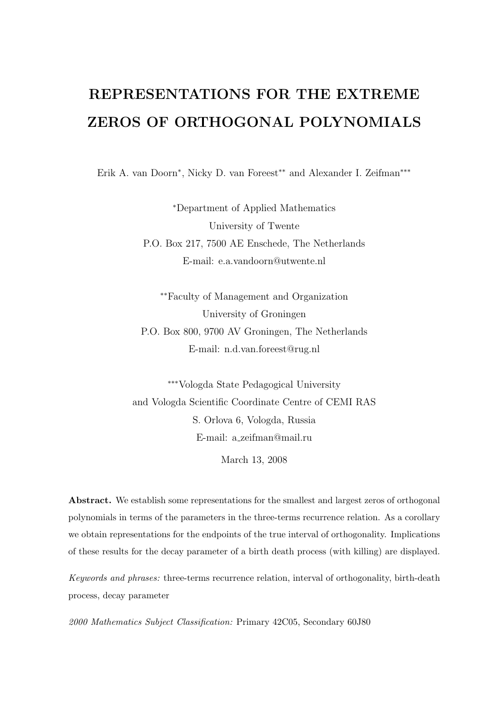# REPRESENTATIONS FOR THE EXTREME ZEROS OF ORTHOGONAL POLYNOMIALS

Erik A. van Doorn<sup>∗</sup> , Nicky D. van Foreest∗∗ and Alexander I. Zeifman∗∗∗

<sup>∗</sup>Department of Applied Mathematics University of Twente P.O. Box 217, 7500 AE Enschede, The Netherlands E-mail: e.a.vandoorn@utwente.nl

∗∗Faculty of Management and Organization University of Groningen P.O. Box 800, 9700 AV Groningen, The Netherlands E-mail: n.d.van.foreest@rug.nl

∗∗∗Vologda State Pedagogical University and Vologda Scientific Coordinate Centre of CEMI RAS S. Orlova 6, Vologda, Russia E-mail: a zeifman@mail.ru

March 13, 2008

Abstract. We establish some representations for the smallest and largest zeros of orthogonal polynomials in terms of the parameters in the three-terms recurrence relation. As a corollary we obtain representations for the endpoints of the true interval of orthogonality. Implications of these results for the decay parameter of a birth death process (with killing) are displayed.

Keywords and phrases: three-terms recurrence relation, interval of orthogonality, birth-death process, decay parameter

2000 Mathematics Subject Classification: Primary 42C05, Secondary 60J80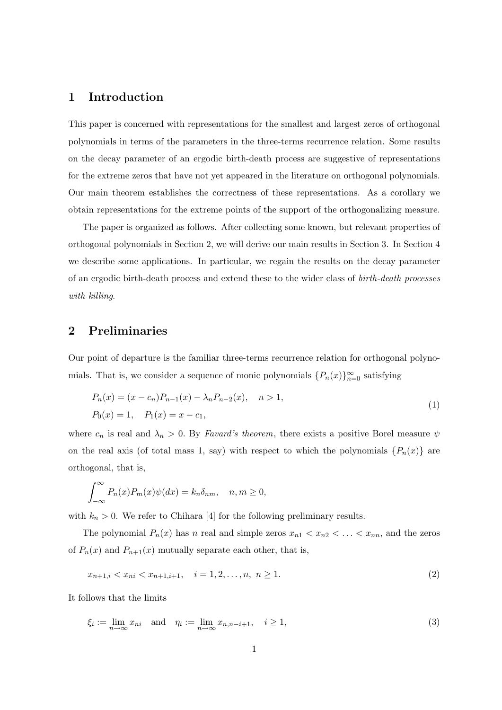## 1 Introduction

This paper is concerned with representations for the smallest and largest zeros of orthogonal polynomials in terms of the parameters in the three-terms recurrence relation. Some results on the decay parameter of an ergodic birth-death process are suggestive of representations for the extreme zeros that have not yet appeared in the literature on orthogonal polynomials. Our main theorem establishes the correctness of these representations. As a corollary we obtain representations for the extreme points of the support of the orthogonalizing measure.

The paper is organized as follows. After collecting some known, but relevant properties of orthogonal polynomials in Section 2, we will derive our main results in Section 3. In Section 4 we describe some applications. In particular, we regain the results on the decay parameter of an ergodic birth-death process and extend these to the wider class of birth-death processes with killing.

## 2 Preliminaries

Our point of departure is the familiar three-terms recurrence relation for orthogonal polynomials. That is, we consider a sequence of monic polynomials  $\{P_n(x)\}_{n=0}^{\infty}$  satisfying

$$
P_n(x) = (x - c_n)P_{n-1}(x) - \lambda_n P_{n-2}(x), \quad n > 1,
$$
  
\n
$$
P_0(x) = 1, \quad P_1(x) = x - c_1,
$$
\n(1)

where  $c_n$  is real and  $\lambda_n > 0$ . By *Favard's theorem*, there exists a positive Borel measure  $\psi$ on the real axis (of total mass 1, say) with respect to which the polynomials  $\{P_n(x)\}\$ are orthogonal, that is,

$$
\int_{-\infty}^{\infty} P_n(x) P_m(x) \psi(dx) = k_n \delta_{nm}, \quad n, m \ge 0,
$$

with  $k_n > 0$ . We refer to Chihara [4] for the following preliminary results.

The polynomial  $P_n(x)$  has n real and simple zeros  $x_{n1} < x_{n2} < \ldots < x_{nn}$ , and the zeros of  $P_n(x)$  and  $P_{n+1}(x)$  mutually separate each other, that is,

$$
x_{n+1,i} < x_{ni} < x_{n+1,i+1}, \quad i = 1, 2, \dots, n, \ n \ge 1. \tag{2}
$$

It follows that the limits

$$
\xi_i := \lim_{n \to \infty} x_{ni} \quad \text{and} \quad \eta_i := \lim_{n \to \infty} x_{n,n-i+1}, \quad i \ge 1,
$$
\n<sup>(3)</sup>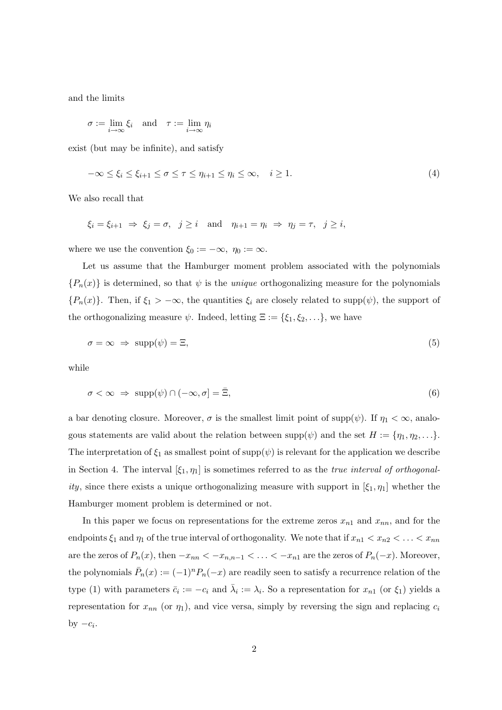and the limits

$$
\sigma := \lim_{i \to \infty} \xi_i \quad \text{and} \quad \tau := \lim_{i \to \infty} \eta_i
$$

exist (but may be infinite), and satisfy

$$
-\infty \le \xi_i \le \xi_{i+1} \le \sigma \le \tau \le \eta_{i+1} \le \eta_i \le \infty, \quad i \ge 1.
$$
\n
$$
(4)
$$

We also recall that

$$
\xi_i = \xi_{i+1} \implies \xi_j = \sigma, \quad j \ge i \quad \text{and} \quad \eta_{i+1} = \eta_i \implies \eta_j = \tau, \quad j \ge i,
$$

where we use the convention  $\xi_0 := -\infty$ ,  $\eta_0 := \infty$ .

Let us assume that the Hamburger moment problem associated with the polynomials  ${P_n(x)}$  is determined, so that  $\psi$  is the *unique* orthogonalizing measure for the polynomials  ${P_n(x)}$ . Then, if  $\xi_1 > -\infty$ , the quantities  $\xi_i$  are closely related to supp $(\psi)$ , the support of the orthogonalizing measure  $\psi$ . Indeed, letting  $\Xi := {\xi_1, \xi_2, \ldots}$ , we have

$$
\sigma = \infty \implies \text{supp}(\psi) = \Xi,\tag{5}
$$

while

$$
\sigma < \infty \ \Rightarrow \ \operatorname{supp}(\psi) \cap (-\infty, \sigma] = \bar{\Xi},\tag{6}
$$

a bar denoting closure. Moreover,  $\sigma$  is the smallest limit point of supp $(\psi)$ . If  $\eta_1 < \infty$ , analogous statements are valid about the relation between  $\text{supp}(\psi)$  and the set  $H := \{\eta_1, \eta_2, \ldots\}$ . The interpretation of  $\xi_1$  as smallest point of supp $(\psi)$  is relevant for the application we describe in Section 4. The interval  $[\xi_1, \eta_1]$  is sometimes referred to as the *true interval of orthogonal*ity, since there exists a unique orthogonalizing measure with support in  $[\xi_1, \eta_1]$  whether the Hamburger moment problem is determined or not.

In this paper we focus on representations for the extreme zeros  $x_{n1}$  and  $x_{nn}$ , and for the endpoints  $\xi_1$  and  $\eta_1$  of the true interval of orthogonality. We note that if  $x_{n1} < x_{n2} < \ldots < x_{nn}$ are the zeros of  $P_n(x)$ , then  $-x_{nn} < -x_{n,n-1} < \ldots < -x_{n1}$  are the zeros of  $P_n(-x)$ . Moreover, the polynomials  $\bar{P}_n(x) := (-1)^n P_n(-x)$  are readily seen to satisfy a recurrence relation of the type (1) with parameters  $\bar{c}_i := -c_i$  and  $\bar{\lambda}_i := \lambda_i$ . So a representation for  $x_{n_1}$  (or  $\xi_1$ ) yields a representation for  $x_{nn}$  (or  $\eta_1$ ), and vice versa, simply by reversing the sign and replacing  $c_i$ by  $-c_i$ .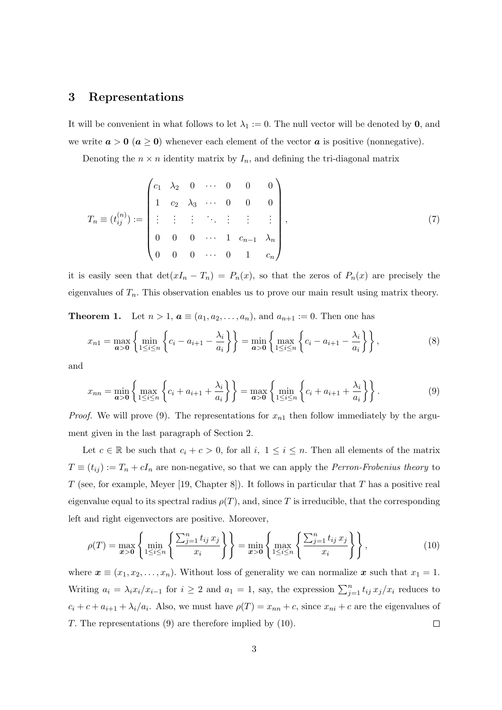#### 3 Representations

It will be convenient in what follows to let  $\lambda_1 := 0$ . The null vector will be denoted by 0, and we write  $a > 0$  ( $a \ge 0$ ) whenever each element of the vector a is positive (nonnegative).

Denoting the  $n \times n$  identity matrix by  $I_n$ , and defining the tri-diagonal matrix

$$
T_n \equiv (t_{ij}^{(n)}) := \begin{pmatrix} c_1 & \lambda_2 & 0 & \cdots & 0 & 0 & 0 \\ 1 & c_2 & \lambda_3 & \cdots & 0 & 0 & 0 \\ \vdots & \vdots & \vdots & \ddots & \vdots & \vdots & \vdots \\ 0 & 0 & 0 & \cdots & 1 & c_{n-1} & \lambda_n \\ 0 & 0 & 0 & \cdots & 0 & 1 & c_n \end{pmatrix},
$$
(7)

it is easily seen that  $\det(xI_n - T_n) = P_n(x)$ , so that the zeros of  $P_n(x)$  are precisely the eigenvalues of  $T_n$ . This observation enables us to prove our main result using matrix theory.

**Theorem 1.** Let  $n > 1$ ,  $a \equiv (a_1, a_2, ..., a_n)$ , and  $a_{n+1} := 0$ . Then one has

$$
x_{n1} = \max_{a>0} \left\{ \min_{1 \le i \le n} \left\{ c_i - a_{i+1} - \frac{\lambda_i}{a_i} \right\} \right\} = \min_{a>0} \left\{ \max_{1 \le i \le n} \left\{ c_i - a_{i+1} - \frac{\lambda_i}{a_i} \right\} \right\},
$$
(8)

and

$$
x_{nn} = \min_{a>0} \left\{ \max_{1 \le i \le n} \left\{ c_i + a_{i+1} + \frac{\lambda_i}{a_i} \right\} \right\} = \max_{a>0} \left\{ \min_{1 \le i \le n} \left\{ c_i + a_{i+1} + \frac{\lambda_i}{a_i} \right\} \right\}.
$$
 (9)

*Proof.* We will prove (9). The representations for  $x_{n1}$  then follow immediately by the argument given in the last paragraph of Section 2.

Let  $c \in \mathbb{R}$  be such that  $c_i + c > 0$ , for all  $i, 1 \le i \le n$ . Then all elements of the matrix  $T \equiv (t_{ij}) := T_n + cI_n$  are non-negative, so that we can apply the *Perron-Frobenius theory* to T (see, for example, Meyer [19, Chapter 8]). It follows in particular that T has a positive real eigenvalue equal to its spectral radius  $\rho(T)$ , and, since T is irreducible, that the corresponding left and right eigenvectors are positive. Moreover,

$$
\rho(T) = \max_{x>0} \left\{ \min_{1 \le i \le n} \left\{ \frac{\sum_{j=1}^n t_{ij} x_j}{x_i} \right\} \right\} = \min_{x>0} \left\{ \max_{1 \le i \le n} \left\{ \frac{\sum_{j=1}^n t_{ij} x_j}{x_i} \right\} \right\},
$$
(10)

where  $\mathbf{x} \equiv (x_1, x_2, \dots, x_n)$ . Without loss of generality we can normalize  $\mathbf{x}$  such that  $x_1 = 1$ . Writing  $a_i = \lambda_i x_i/x_{i-1}$  for  $i \geq 2$  and  $a_1 = 1$ , say, the expression  $\sum_{j=1}^n t_{ij} x_j/x_i$  reduces to  $c_i + c + a_{i+1} + \lambda_i/a_i$ . Also, we must have  $\rho(T) = x_{nn} + c$ , since  $x_{ni} + c$  are the eigenvalues of T. The representations (9) are therefore implied by (10).  $\Box$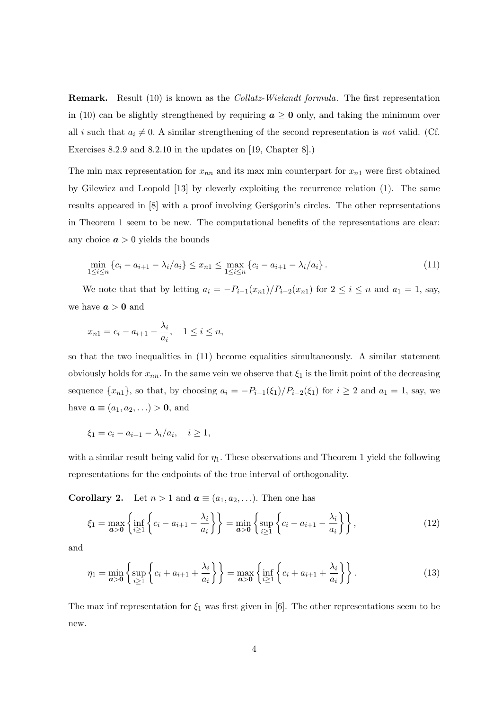Remark. Result (10) is known as the Collatz-Wielandt formula. The first representation in (10) can be slightly strengthened by requiring  $a \geq 0$  only, and taking the minimum over all i such that  $a_i \neq 0$ . A similar strengthening of the second representation is not valid. (Cf. Exercises 8.2.9 and 8.2.10 in the updates on [19, Chapter 8].)

The min max representation for  $x_{nn}$  and its max min counterpart for  $x_{n1}$  were first obtained by Gilewicz and Leopold [13] by cleverly exploiting the recurrence relation (1). The same results appeared in  $[8]$  with a proof involving Geršgorin's circles. The other representations in Theorem 1 seem to be new. The computational benefits of the representations are clear: any choice  $\boldsymbol{a} > 0$  yields the bounds

$$
\min_{1 \le i \le n} \left\{ c_i - a_{i+1} - \lambda_i / a_i \right\} \le x_{n1} \le \max_{1 \le i \le n} \left\{ c_i - a_{i+1} - \lambda_i / a_i \right\}. \tag{11}
$$

We note that that by letting  $a_i = -P_{i-1}(x_{n1})/P_{i-2}(x_{n1})$  for  $2 \le i \le n$  and  $a_1 = 1$ , say, we have  $a > 0$  and

$$
x_{n1} = c_i - a_{i+1} - \frac{\lambda_i}{a_i}, \quad 1 \le i \le n,
$$

so that the two inequalities in (11) become equalities simultaneously. A similar statement obviously holds for  $x_{nn}$ . In the same vein we observe that  $\xi_1$  is the limit point of the decreasing sequence  $\{x_{n1}\}\$ , so that, by choosing  $a_i = -P_{i-1}(\xi_1)/P_{i-2}(\xi_1)$  for  $i \geq 2$  and  $a_1 = 1$ , say, we have  $\mathbf{a} \equiv (a_1, a_2, \ldots) > \mathbf{0}$ , and

$$
\xi_1 = c_i - a_{i+1} - \lambda_i/a_i, \quad i \ge 1,
$$

with a similar result being valid for  $\eta_1$ . These observations and Theorem 1 yield the following representations for the endpoints of the true interval of orthogonality.

**Corollary 2.** Let  $n > 1$  and  $a \equiv (a_1, a_2, \ldots)$ . Then one has

$$
\xi_1 = \max_{a>0} \left\{ \inf_{i \ge 1} \left\{ c_i - a_{i+1} - \frac{\lambda_i}{a_i} \right\} \right\} = \min_{a>0} \left\{ \sup_{i \ge 1} \left\{ c_i - a_{i+1} - \frac{\lambda_i}{a_i} \right\} \right\},
$$
\n(12)

and

$$
\eta_1 = \min_{a>0} \left\{ \sup_{i \ge 1} \left\{ c_i + a_{i+1} + \frac{\lambda_i}{a_i} \right\} \right\} = \max_{a>0} \left\{ \inf_{i \ge 1} \left\{ c_i + a_{i+1} + \frac{\lambda_i}{a_i} \right\} \right\}.
$$
 (13)

The max inf representation for  $\xi_1$  was first given in [6]. The other representations seem to be new.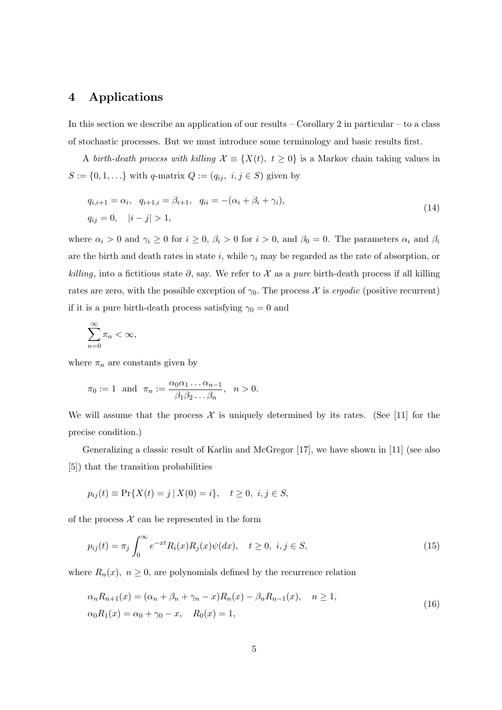## 4 Applications

In this section we describe an application of our results – Corollary 2 in particular – to a class of stochastic processes. But we must introduce some terminology and basic results first.

A birth-death process with killing  $\mathcal{X} \equiv \{X(t), t \geq 0\}$  is a Markov chain taking values in  $S := \{0, 1, \ldots\}$  with  $q$ -matrix  $Q := (q_{ij}, i, j \in S)$  given by

$$
q_{i,i+1} = \alpha_i, \quad q_{i+1,i} = \beta_{i+1}, \quad q_{ii} = -(\alpha_i + \beta_i + \gamma_i),
$$
  
\n
$$
q_{ij} = 0, \quad |i - j| > 1,
$$
\n(14)

where  $\alpha_i > 0$  and  $\gamma_i \geq 0$  for  $i \geq 0$ ,  $\beta_i > 0$  for  $i > 0$ , and  $\beta_0 = 0$ . The parameters  $\alpha_i$  and  $\beta_i$ are the birth and death rates in state i, while  $\gamma_i$  may be regarded as the rate of absorption, or killing, into a fictitious state  $\partial$ , say. We refer to X as a pure birth-death process if all killing rates are zero, with the possible exception of  $\gamma_0$ . The process X is *ergodic* (positive recurrent) if it is a pure birth-death process satisfying  $\gamma_0 = 0$  and

$$
\sum_{n=0}^{\infty} \pi_n < \infty,
$$

where  $\pi_n$  are constants given by

$$
\pi_0 := 1
$$
 and  $\pi_n := \frac{\alpha_0 \alpha_1 \dots \alpha_{n-1}}{\beta_1 \beta_2 \dots \beta_n}$ ,  $n > 0$ .

We will assume that the process  $\mathcal X$  is uniquely determined by its rates. (See [11] for the precise condition.)

Generalizing a classic result of Karlin and McGregor [17], we have shown in [11] (see also [5]) that the transition probabilities

$$
p_{ij}(t) \equiv \Pr\{X(t) = j \mid X(0) = i\}, \quad t \ge 0, \ i, j \in S,
$$

of the process  $\mathcal X$  can be represented in the form

$$
p_{ij}(t) = \pi_j \int_0^\infty e^{-xt} R_i(x) R_j(x) \psi(dx), \quad t \ge 0, \ i, j \in S,
$$
\n(15)

where  $R_n(x)$ ,  $n \geq 0$ , are polynomials defined by the recurrence relation

$$
\alpha_n R_{n+1}(x) = (\alpha_n + \beta_n + \gamma_n - x)R_n(x) - \beta_n R_{n-1}(x), \quad n \ge 1,
$$
  
\n
$$
\alpha_0 R_1(x) = \alpha_0 + \gamma_0 - x, \quad R_0(x) = 1,
$$
\n(16)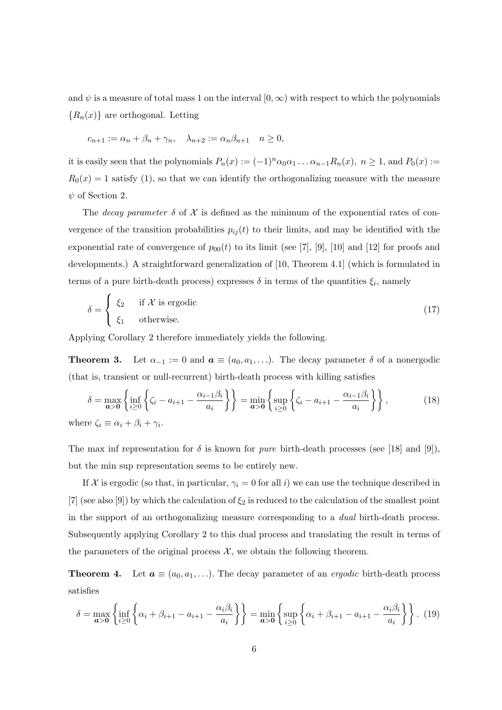and  $\psi$  is a measure of total mass 1 on the interval  $[0, \infty)$  with respect to which the polynomials  ${R_n(x)}$  are orthogonal. Letting

$$
c_{n+1} := \alpha_n + \beta_n + \gamma_n, \quad \lambda_{n+2} := \alpha_n \beta_{n+1} \quad n \ge 0,
$$

it is easily seen that the polynomials  $P_n(x) := (-1)^n \alpha_0 \alpha_1 \dots \alpha_{n-1} R_n(x)$ ,  $n \ge 1$ , and  $P_0(x) :=$  $R_0(x) = 1$  satisfy (1), so that we can identify the orthogonalizing measure with the measure  $\psi$  of Section 2.

The decay parameter  $\delta$  of X is defined as the minimum of the exponential rates of convergence of the transition probabilities  $p_{ij}(t)$  to their limits, and may be identified with the exponential rate of convergence of  $p_{00}(t)$  to its limit (see [7], [9], [10] and [12] for proofs and developments.) A straightforward generalization of [10, Theorem 4.1] (which is formulated in terms of a pure birth-death process) expresses  $\delta$  in terms of the quantities  $\xi_i$ , namely

$$
\delta = \begin{cases} \xi_2 & \text{if } \mathcal{X} \text{ is ergodic} \\ \xi_1 & \text{otherwise.} \end{cases}
$$
 (17)

Applying Corollary 2 therefore immediately yields the following.

**Theorem 3.** Let  $\alpha_{-1} := 0$  and  $\boldsymbol{a} \equiv (a_0, a_1, \ldots)$ . The decay parameter  $\delta$  of a nonergodic (that is, transient or null-recurrent) birth-death process with killing satisfies

$$
\delta = \max_{\mathbf{a} > \mathbf{0}} \left\{ \inf_{i \ge 0} \left\{ \zeta_i - a_{i+1} - \frac{\alpha_{i-1} \beta_i}{a_i} \right\} \right\} = \min_{\mathbf{a} > \mathbf{0}} \left\{ \sup_{i \ge 0} \left\{ \zeta_i - a_{i+1} - \frac{\alpha_{i-1} \beta_i}{a_i} \right\} \right\},\tag{18}
$$
\nwhere  $\zeta_i \equiv \alpha_i + \beta_i + \gamma_i$ .

The max inf representation for  $\delta$  is known for *pure* birth-death processes (see [18] and [9]), but the min sup representation seems to be entirely new.

If X is ergodic (so that, in particular,  $\gamma_i = 0$  for all i) we can use the technique described in [7] (see also [9]) by which the calculation of  $\xi_2$  is reduced to the calculation of the smallest point in the support of an orthogonalizing measure corresponding to a dual birth-death process. Subsequently applying Corollary 2 to this dual process and translating the result in terms of the parameters of the original process  $\mathcal{X}$ , we obtain the following theorem.

**Theorem 4.** Let  $a \equiv (a_0, a_1, \ldots)$ . The decay parameter of an *ergodic* birth-death process satisfies

$$
\delta = \max_{a>0} \left\{ \inf_{i \ge 0} \left\{ \alpha_i + \beta_{i+1} - a_{i+1} - \frac{\alpha_i \beta_i}{a_i} \right\} \right\} = \min_{a>0} \left\{ \sup_{i \ge 0} \left\{ \alpha_i + \beta_{i+1} - a_{i+1} - \frac{\alpha_i \beta_i}{a_i} \right\} \right\}.
$$
 (19)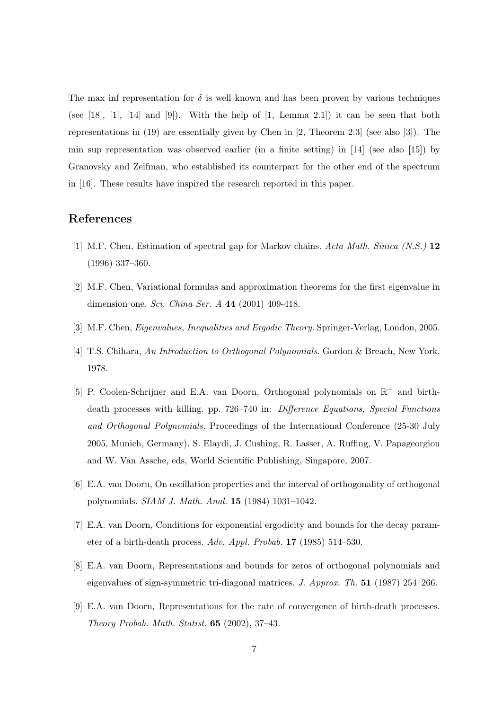The max inf representation for  $\delta$  is well known and has been proven by various techniques (see [18], [1], [14] and [9]). With the help of  $[1, \text{ Lemma } 2.1]$  it can be seen that both representations in (19) are essentially given by Chen in [2, Theorem 2.3] (see also [3]). The min sup representation was observed earlier (in a finite setting) in [14] (see also [15]) by Granovsky and Zeifman, who established its counterpart for the other end of the spectrum in [16]. These results have inspired the research reported in this paper.

# References

- [1] M.F. Chen, Estimation of spectral gap for Markov chains. Acta Math. Sinica (N.S.) 12 (1996) 337–360.
- [2] M.F. Chen, Variational formulas and approximation theorems for the first eigenvalue in dimension one. Sci. China Ser.  $A$  44 (2001) 409-418.
- [3] M.F. Chen, Eigenvalues, Inequalities and Ergodic Theory. Springer-Verlag, London, 2005.
- [4] T.S. Chihara, An Introduction to Orthogonal Polynomials. Gordon & Breach, New York, 1978.
- [5] P. Coolen-Schrijner and E.A. van Doorn, Orthogonal polynomials on  $\mathbb{R}^+$  and birthdeath processes with killing. pp. 726–740 in: Difference Equations, Special Functions and Orthogonal Polynomials, Proceedings of the International Conference (25-30 July 2005, Munich, Germany). S. Elaydi, J. Cushing, R. Lasser, A. Ruffing, V. Papageorgiou and W. Van Assche, eds, World Scientific Publishing, Singapore, 2007.
- [6] E.A. van Doorn, On oscillation properties and the interval of orthogonality of orthogonal polynomials. SIAM J. Math. Anal. 15 (1984) 1031–1042.
- [7] E.A. van Doorn, Conditions for exponential ergodicity and bounds for the decay parameter of a birth-death process. Adv. Appl. Probab. 17 (1985) 514–530.
- [8] E.A. van Doorn, Representations and bounds for zeros of orthogonal polynomials and eigenvalues of sign-symmetric tri-diagonal matrices. J. Approx. Th. 51 (1987) 254–266.
- [9] E.A. van Doorn, Representations for the rate of convergence of birth-death processes. Theory Probab. Math. Statist. 65 (2002), 37–43.